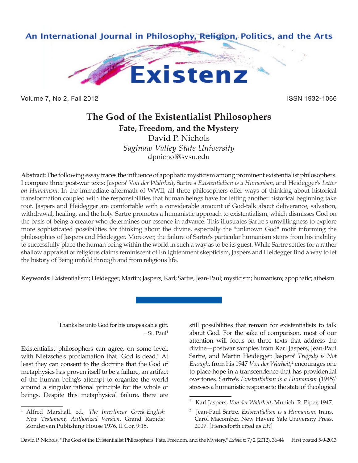

Volume 7, No 2, Fall 2012 **ISSN 1932-1066** 

# **The God of the Existentialist Philosophers**

**Fate, Freedom, and the Mystery** David P. Nichols *Saginaw Valley State University* dpnichol@svsu.edu

**Abstract:** The following essay traces the influence of apophatic mysticism among prominent existentialist philosophers. I compare three post-war texts: Jaspers' V*on der Wahrheit*, Sartre's *Existentialism is a Humanism*, and Heidegger's *Letter on Humanism*. In the immediate aftermath of WWII, all three philosophers offer ways of thinking about historical transformation coupled with the responsibilities that human beings have for letting another historical beginning take root. Jaspers and Heidegger are comfortable with a considerable amount of God-talk about deliverance, salvation, withdrawal, healing, and the holy. Sartre promotes a humanistic approach to existentialism, which dismisses God on the basis of being a creator who determines our essence in advance. This illustrates Sartre's unwillingness to explore more sophisticated possibilities for thinking about the divine, especially the "unknown God" motif informing the philosophies of Jaspers and Heidegger. Moreover, the failure of Sartre's particular humanism stems from his inability to successfully place the human being within the world in such a way as to be its guest. While Sartre settles for a rather shallow appraisal of religious claims reminiscent of Enlightenment skepticism, Jaspers and Heidegger find a way to let the history of Being unfold through and from religious life.

**Keywords:** Existentialism; Heidegger, Martin; Jaspers, Karl; Sartre, Jean-Paul; mysticism; humanism; apophatic; atheism.

Thanks be unto God for his unspeakable gift.  $-$  St. Paul<sup>1</sup>

Existentialist philosophers can agree, on some level, with Nietzsche's proclamation that "God is dead." At least they can consent to the doctrine that the God of metaphysics has proven itself to be a failure, an artifact of the human being's attempt to organize the world around a singular rational principle for the whole of beings. Despite this metaphysical failure, there are still possibilities that remain for existentialists to talk about God. For the sake of comparison, most of our attention will focus on three texts that address the divine—postwar samples from Karl Jaspers, Jean-Paul Sartre, and Martin Heidegger. Jaspers' *Tragedy is Not Enough*, from his 1947 *Von der Warheit*, 2 encourages one to place hope in a transcendence that has providential overtones. Sartre's *Existentialism is a Humanism* (1945)<sup>3</sup> stresses a humanistic response to the state of theological

<sup>1</sup> Alfred Marshall, ed., *The Interlinear Greek-English New Testament, Authorized Version*, Grand Rapids: Zondervan Publishing House 1976, II Cor. 9:15.

<sup>2</sup> Karl Jaspers, *Von der Wahrheit*, Munich: R. Piper, 1947.

<sup>3</sup> Jean-Paul Sartre, *Existentialism is a Humanism*, trans. Carol Macomber, New Haven: Yale University Press, 2007. [Henceforth cited as *EH*]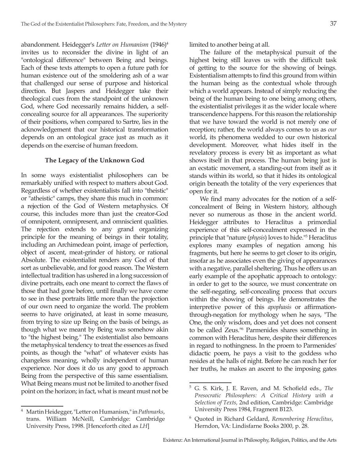abandonment. Heidegger's *Letter on Humanism* (1946)4 invites us to reconsider the divine in light of an "ontological difference" between Being and beings. Each of these texts attempts to open a future path for human existence out of the smoldering ash of a war that challenged our sense of purpose and historical direction. But Jaspers and Heidegger take their theological cues from the standpoint of the unknown God, where God necessarily remains hidden, a selfconcealing source for all appearances. The superiority of their positions, when compared to Sartre, lies in the acknowledgement that our historical transformation depends on an ontological grace just as much as it depends on the exercise of human freedom.

# **The Legacy of the Unknown God**

In some ways existentialist philosophers can be remarkably unified with respect to matters about God. Regardless of whether existentialists fall into "theistic" or "atheistic" camps, they share this much in common: a rejection of the God of Western metaphysics. Of course, this includes more than just the creator-God of omnipotent, omnipresent, and omniscient qualities. The rejection extends to any grand organizing principle for the meaning of beings in their totality, including an Archimedean point, image of perfection, object of ascent, meat-grinder of history, or rational Absolute. The existentialist renders any God of that sort as unbelievable, and for good reason. The Western intellectual tradition has ushered in a long succession of divine portraits, each one meant to correct the flaws of those that had gone before, until finally we have come to see in these portraits little more than the projection of our own need to organize the world. The problem seems to have originated, at least in some measure, from trying to size up Being on the basis of beings, as though what we meant by Being was somehow akin to "the highest being." The existentialist also bemoans the metaphysical tendency to treat the essences as fixed points, as though the "what" of whatever exists has changeless meaning, wholly independent of human experience. Nor does it do us any good to approach Being from the perspective of this same essentialism. What Being means must not be limited to another fixed point on the horizon; in fact, what is meant must not be

<sup>4</sup> Martin Heidegger, "Letter on Humanism," in *Pathmarks*, trans. William McNeill, Cambridge: Cambridge University Press, 1998. [Henceforth cited as *LH*]

limited to another being at all.

The failure of the metaphysical pursuit of the highest being still leaves us with the difficult task of getting to the source for the showing of beings. Existentialism attempts to find this ground from within the human being as the contextual whole through which a world appears. Instead of simply reducing the being of the human being to one being among others, the existentialist privileges it as the wider locale where transcendence happens. For this reason the relationship that we have toward the world is not merely one of reception; rather, the world always comes to us as *our* world, its phenomena wedded to our own historical development. Moreover, what hides itself in the revelatory process is every bit as important as what shows itself in that process. The human being just is an ecstatic movement, a standing-out from itself as it stands within its world, so that it hides its ontological origin beneath the totality of the very experiences that open for it.

We find many advocates for the notion of a selfconcealment of Being in Western history, although never so numerous as those in the ancient world. Heidegger attributes to Heraclitus a primordial experience of this self-concealment expressed in the principle that "nature (*physis*) loves to hide."5 Heraclitus explores many examples of negation among his fragments, but here he seems to get closer to its origin, insofar as he associates even the giving of appearances with a negative, parallel sheltering. Thus he offers us an early example of the apophatic approach to ontology: in order to get to the source, we must concentrate on the self-negating, self-concealing process that occurs within the showing of beings. He demonstrates the interpretive power of this *apophasis* or affirmationthrough-negation for mythology when he says, "The One, the only wisdom, does and yet does not consent to be called Zeus."6 Parmenides shares something in common with Heraclitus here, despite their differences in regard to nothingness. In the proem to Parmenides' didactic poem, he pays a visit to the goddess who resides at the halls of night. Before he can reach her for her truths, he makes an ascent to the imposing gates

<sup>5</sup> G. S. Kirk, J. E. Raven, and M. Schofield eds., *The Presocratic Philosophers: A Critical History with a Selection of Texts,* 2nd edition, Cambridge: Cambridge University Press 1984, Fragment B123.

<sup>6</sup> Quoted in Richard Geldard, *Remembering Heraclitus*, Herndon, VA: Lindisfarne Books 2000, p. 28.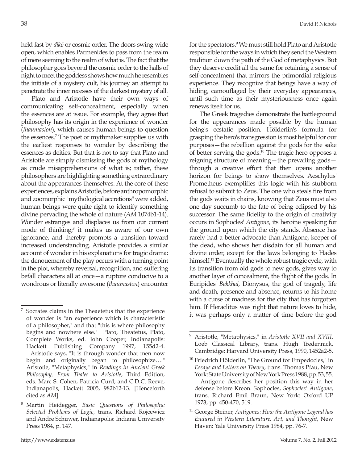held fast by *dikē* or cosmic order. The doors swing wide open, which enables Parmenides to pass from the realm of mere seeming to the realm of what is. The fact that the philosopher goes beyond the cosmic order to the halls of night to meet the goddess shows how much he resembles the initiate of a mystery cult, his journey an attempt to penetrate the inner recesses of the darkest mystery of all.

Plato and Aristotle have their own ways of communicating self-concealment, especially when the essences are at issue. For example, they agree that philosophy has its origin in the experience of wonder (*thaumaston*), which causes human beings to question the essences.<sup>7</sup> The poet or mythmaker supplies us with the earliest responses to wonder by describing the essences as deities. But that is not to say that Plato and Aristotle are simply dismissing the gods of mythology as crude misapprehensions of what is; rather, these philosophers are highlighting something extraordinary about the appearances themselves. At the core of these experiences, explains Aristotle, before anthropomorphic and zoomorphic "mythological accretions" were added, human beings were quite right to identify something divine pervading the whole of nature (*AM* 1074b1-14). Wonder estranges and displaces us from our current mode of thinking,<sup>8</sup> it makes us aware of our own ignorance, and thereby prompts a transition toward increased understanding. Aristotle provides a similar account of wonder in his explanations for tragic drama: the denouement of the play occurs with a turning point in the plot, whereby reversal, recognition, and suffering befall characters all at once—a rupture conducive to a wondrous or literally awesome (*thaumaston*) encounter

for the spectators.<sup>9</sup> We must still hold Plato and Aristotle responsible for the ways in which they send the Western tradition down the path of the God of metaphysics. But they deserve credit all the same for retaining a sense of self-concealment that mirrors the primordial religious experience. They recognize that beings have a way of hiding, camouflaged by their everyday appearances, until such time as their mysteriousness once again renews itself for us.

The Greek tragedies demonstrate the battleground for the appearances made possible by the human being's ecstatic position. Hölderlin's formula for grasping the hero's transgression is most helpful for our purposes—the rebellion against the gods for the sake of better serving the gods.10 The tragic hero opposes a reigning structure of meaning—the prevailing gods through a creative effort that then opens another horizon for beings to show themselves. Aeschylus' Prometheus exemplifies this logic with his stubborn refusal to submit to Zeus. The one who steals fire from the gods waits in chains, knowing that Zeus must also one day succumb to the fate of being eclipsed by his successor. The same fidelity to the origin of creativity occurs in Sophocles' *Antigone*, its heroine speaking for the ground upon which the city stands. Absence has rarely had a better advocate than Antigone, keeper of the dead, who shows her disdain for all human and divine order, except for the laws belonging to Hades himself.<sup>11</sup> Eventually the whole robust tragic cycle, with its transition from old gods to new gods, gives way to another layer of concealment, the flight of the gods. In Euripides' *Bakkhai*, Dionysus, the god of tragedy, life and death, presence and absence, returns to his home with a curse of madness for the city that has forgotten him. If Heraclitus was right that nature loves to hide, it was perhaps only a matter of time before the god

<sup>7</sup> Socrates claims in the Theaetetus that the experience of wonder is "an experience which is characteristic of a philosopher," and that "this is where philosophy begins and nowhere else." Plato, Theatetus, Plato, Complete Works, ed. John Cooper, Indianapolis: Hackett Publishing Company 1997, 155d2-4. Aristotle says, "It is through wonder that men now begin and originally began to philosophize…." Aristotle, "Metaphysics," in *Readings in Ancient Greek Philosophy, From Thales to Aristotle*, Third Edition, eds. Marc S. Cohen, Patricia Curd, and C.D.C. Reeve, Indianapolis, Hackett 2005, 982b12-13. [Henceforth cited as *AM*].

<sup>8</sup> Martin Heidegger, *Basic Questions of Philosophy: Selected Problems of Logic*, trans. Richard Rojcewicz and Andre Schuwer, Indianapolis: Indiana University Press 1984, p. 147.

<sup>9</sup> Aristotle, "Metaphysics," in *Aristotle XVII and XVIII*, Loeb Classical Library, trans. Hugh Tredennick, Cambridge: Harvard University Press, 1990, 1452a2-5.

<sup>&</sup>lt;sup>10</sup> Friedrich Hölderlin, "The Ground for Empedocles," in *Essays and Letters on Theory*, trans. Thomas Pfau, New York: State University of New York Press 1988, pp. 53, 55. Antigone describes her position this way in her defense before Kreon. Sophocles, *Sophocles' Antigone*, trans. Richard Emil Braun, New York: Oxford UP 1973, pp. 450-470, 519.

<sup>11</sup> George Steiner, *Antigones: How the Antigone Legend has Endured in Western Literature, Art, and Thought*, New Haven: Yale University Press 1984, pp. 76-7.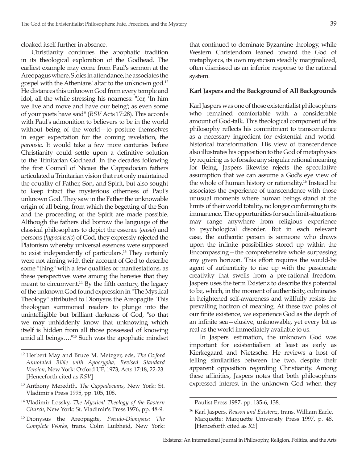cloaked itself further in absence.

Christianity continues the apophatic tradition in its theological exploration of the Godhead. The earliest example may come from Paul's sermon at the Areopagus where, Stoics in attendance, he associates the gospel with the Athenians' altar to the unknown god.<sup>12</sup> He distances this unknown God from every temple and idol, all the while stressing his nearness: "for, 'In him we live and move and have our being'; as even some of your poets have said" (*RSV* Acts 17:28). This accords with Paul's admonition to believers to be in the world without being of the world—to posture themselves in eager expectation for the coming revelation, the *parousia*. It would take a few more centuries before Christianity could settle upon a definitive solution to the Trinitarian Godhead. In the decades following the first Council of Nicaea the Cappadocian fathers articulated a Trinitarian vision that not only maintained the equality of Father, Son, and Spirit, but also sought to keep intact the mysterious otherness of Paul's unknown God. They saw in the Father the unknowable origin of all being, from which the begetting of the Son and the proceeding of the Spirit are made possible. Although the fathers did borrow the language of the classical philosophers to depict the essence (*ousia*) and persons (*hypostaseis*) of God, they expressly rejected the Platonism whereby universal essences were supposed to exist independently of particulars.13 They certainly were not aiming with their account of God to describe some "thing" with a few qualities or manifestations, as these perspectives were among the heresies that they meant to circumvent.<sup>14</sup> By the fifth century, the legacy of the unknown God found expression in "The Mystical Theology" attributed to Dionysus the Areopagite. This theologian summoned readers to plunge into the unintelligible but brilliant darkness of God, "so that we may unhiddenly know that unknowing which itself is hidden from all those possessed of knowing amid all beings…."15 Such was the apophatic mindset that continued to dominate Byzantine theology, while Western Christendom leaned toward the God of metaphysics, its own mysticism steadily marginalized, often dismissed as an inferior response to the rational system.

### **Karl Jaspers and the Background of All Backgrounds**

Karl Jaspers was one of those existentialist philosophers who remained comfortable with a considerable amount of God-talk. This theological component of his philosophy reflects his commitment to transcendence as a necessary ingredient for existential and worldhistorical transformation. His view of transcendence also illustrates his opposition to the God of metaphysics by requiring us to forsake any singular rational meaning for Being. Jaspers likewise rejects the speculative assumption that we can assume a God's eye view of the whole of human history or rationality.16 Instead he associates the experience of transcendence with those unusual moments where human beings stand at the limits of their world totality, no longer conforming to its immanence. The opportunities for such limit-situations may range anywhere from religious experience to psychological disorder. But in each relevant case, the authentic person is someone who draws upon the infinite possibilities stored up within the Encompassing—the comprehensive whole surpassing any given horizon. This effort requires the would-be agent of authenticity to rise up with the passionate creativity that swells from a pre-rational freedom. Jaspers uses the term Existenz to describe this potential to be, which, in the moment of authenticity, culminates in heightened self-awareness and willfully resists the prevailing horizon of meaning. At these two poles of our finite existence, we experience God as the depth of an infinite sea—elusive, unknowable, yet every bit as real as the world immediately available to us.

In Jaspers' estimation, the unknown God was important for existentialism at least as early as Kierkegaard and Nietzsche. He reviews a host of telling similarities between the two, despite their apparent opposition regarding Christianity. Among these affinities, Jaspers notes that both philosophers expressed interest in the unknown God when they

<sup>12</sup> Herbert May and Bruce M. Metzger, eds, *The Oxford Annotated Bible with Apocrypha, Revised Standard Version*, New York: Oxford UP, 1973, Acts 17:18, 22-23. [Henceforth cited as *RSV*]

<sup>13</sup> Anthony Meredith, *The Cappadocians*, New York: St. Vladimir's Press 1995, pp. 105, 108.

<sup>14</sup> Vladimir Lossky, *The Mystical Theology of the Eastern Church*, New York: St. Vladimir's Press 1976, pp. 48-9.

<sup>15</sup> Dionysus the Areopagite, *Pseudo-Dionysus: The Complete Works*, trans. Colm Luibheid, New York:

Paulist Press 1987, pp. 135-6, 138.

<sup>16</sup> Karl Jaspers, *Reason and Existenz*, trans. William Earle, Marquette: Marquette University Press 1997, p. 48. [Henceforth cited as *RE*]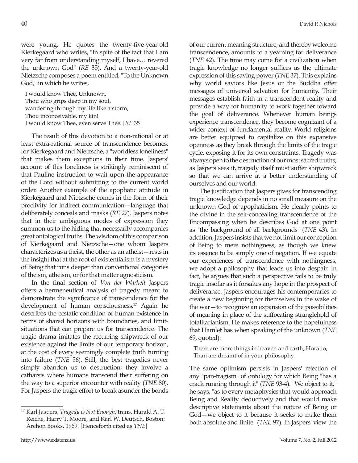were young. He quotes the twenty-five-year-old Kierkegaard who writes, "In spite of the fact that I am very far from understanding myself, I have… revered the unknown God" (*RE* 35). And a twenty-year-old Nietzsche composes a poem entitled, "To the Unknown God," in which he writes,

I would know Thee, Unknown, Thou who grips deep in my soul, wandering through my life like a storm, Thou inconceivable, my kin! I would know Thee, even serve Thee. [*RE* 35]

The result of this devotion to a non-rational or at least extra-rational source of transcendence becomes, for Kierkegaard and Nietzsche, a "worldless loneliness" that makes them exceptions in their time. Jaspers' account of this loneliness is strikingly reminiscent of that Pauline instruction to wait upon the appearance of the Lord without submitting to the current world order. Another example of the apophatic attitude in Kierkegaard and Nietzsche comes in the form of their proclivity for indirect communication—language that deliberately conceals and masks (*RE* 27). Jaspers notes that in their ambiguous modes of expression they summon us to the hiding that necessarily accompanies great ontological truths. The wisdom of this comparison of Kierkegaard and Nietzsche—one whom Jaspers characterizes as a theist, the other as an atheist—rests in the insight that at the root of existentialism is a mystery of Being that runs deeper than conventional categories of theism, atheism, or for that matter agnosticism.

In the final section of *Von der Warheit* Jaspers offers a hermeneutical analysis of tragedy meant to demonstrate the significance of transcendence for the development of human consciousness.<sup>17</sup> Again he describes the ecstatic condition of human existence in terms of shared horizons with boundaries, and limitsituations that can prepare us for transcendence. The tragic drama imitates the recurring shipwreck of our existence against the limits of our temporary horizon, at the cost of every seemingly complete truth turning into failure (*TNE* 56). Still, the best tragedies never simply abandon us to destruction; they involve a catharsis where humans transcend their suffering on the way to a superior encounter with reality (*TNE* 80). For Jaspers the tragic effort to break asunder the bonds of our current meaning structure, and thereby welcome transcendence, amounts to a yearning for deliverance (*TNE* 42). The time may come for a civilization when tragic knowledge no longer suffices as the ultimate expression of this saving power (*TNE* 37). This explains why world saviors like Jesus or the Buddha offer messages of universal salvation for humanity. Their messages establish faith in a transcendent reality and provide a way for humanity to work together toward the goal of deliverance. Whenever human beings experience transcendence, they become cognizant of a wider context of fundamental reality. World religions are better equipped to capitalize on this expansive openness as they break through the limits of the tragic cycle, exposing it for its own constraints. Tragedy was always open to the destruction of our most sacred truths; as Jaspers sees it, tragedy itself must suffer shipwreck so that we can arrive at a better understanding of ourselves and our world.

The justification that Jaspers gives for transcending tragic knowledge depends in no small measure on the unknown God of apophaticism. He clearly points to the divine in the self-concealing transcendence of the Encompassing when he describes God at one point as "the background of all backgrounds" (*TNE* 43). In addition, Jaspers insists that we not limit our conception of Being to mere nothingness, as though we knew its essence to be simply one of negation. If we equate our experiences of transcendence with nothingness, we adopt a philosophy that leads us into despair. In fact, he argues that such a perspective fails to be truly tragic insofar as it forsakes any hope in the prospect of deliverance. Jaspers encourages his contemporaries to create a new beginning for themselves in the wake of the war—to recognize an expansion of the possibilities of meaning in place of the suffocating stranglehold of totalitarianism. He makes reference to the hopefulness that Hamlet has when speaking of the unknown (*TNE* 69, quoted):

There are more things in heaven and earth, Horatio, Than are dreamt of in your philosophy.

The same optimism persists in Jaspers' rejection of any "pan-tragism" of ontology for which Being "has a crack running through it" (*TNE* 93-4). "We object to it," he says, "as to every metaphysics that would approach Being and Reality deductively and that would make descriptive statements about the nature of Being or God—we object to it because it seeks to make them both absolute and finite" (*TNE* 97). In Jaspers' view the

<sup>17</sup> Karl Jaspers, *Tragedy is Not Enough*, trans. Harald A. T. Reiche, Harry T. Moore, and Karl W. Deutsch, Boston: Archon Books, 1969. [Henceforth cited as *TNE*]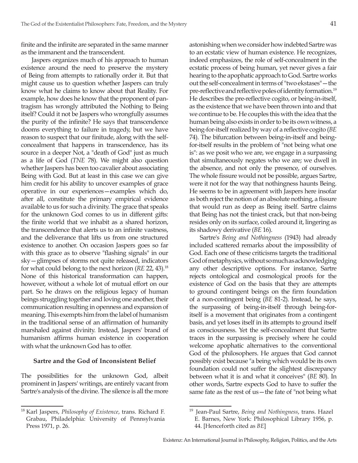finite and the infinite are separated in the same manner as the immanent and the transcendent.

Jaspers organizes much of his approach to human existence around the need to preserve the mystery of Being from attempts to rationally order it. But that might cause us to question whether Jaspers can truly know what he claims to know about that Reality. For example, how does he know that the proponent of pantragism has wrongly attributed the Nothing to Being itself? Could it not be Jaspers who wrongfully assumes the purity of the infinite? He says that transcendence dooms everything to failure in tragedy, but we have reason to suspect that our finitude, along with the selfconcealment that happens in transcendence, has its source in a deeper Not, a "death of God" just as much as a life of God (*TNE* 78). We might also question whether Jaspers has been too cavalier about associating Being with God. But at least in this case we can give him credit for his ability to uncover examples of grace operative in our experiences—examples which do, after all, constitute the primary empirical evidence available to us for such a divinity. The grace that speaks for the unknown God comes to us in different gifts: the finite world that we inhabit as a shared horizon, the transcendence that alerts us to an infinite vastness, and the deliverance that lifts us from one structured existence to another. On occasion Jaspers goes so far with this grace as to observe "flashing signals" in our sky—glimpses of storms not quite released, indicators for what could belong to the next horizon (*RE* 22, 43).18 None of this historical transformation can happen, however, without a whole lot of mutual effort on our part. So he draws on the religious legacy of human beings struggling together and loving one another, their communication resulting in openness and expansion of meaning. This exempts him from the label of humanism in the traditional sense of an affirmation of humanity marshaled against divinity. Instead, Jaspers' brand of humanism affirms human existence in cooperation with what the unknown God has to offer.

#### **Sartre and the God of Inconsistent Belief**

The possibilities for the unknown God, albeit prominent in Jaspers' writings, are entirely vacant from Sartre's analysis of the divine. The silence is all the more astonishing when we consider how indebted Sartre was to an ecstatic view of human existence. He recognizes, indeed emphasizes, the role of self-concealment in the ecstatic process of being human, yet never gives a fair hearing to the apophatic approach to God. Sartre works out the self-concealment in terms of "two ekstases"—the pre-reflective and reflective poles of identity formation.19 He describes the pre-reflective cogito, or being-in-itself, as the existence that we have been thrown into and that we continue to be. He couples this with the idea that the human being also exists in order to be its own witness, a being-for-itself realized by way of a reflective cogito (*BE* 74). The bifurcation between being-in-itself and beingfor-itself results in the problem of "not being what one is": as we posit who we are, we engage in a surpassing that simultaneously negates who we are; we dwell in the absence, and not only the presence, of ourselves. The whole fissure would not be possible, argues Sartre, were it not for the way that nothingness haunts Being. He seems to be in agreement with Jaspers here insofar as both reject the notion of an absolute nothing, a fissure that would run as deep as Being itself. Sartre claims that Being has not the tiniest crack, but that non-being resides only on its surface, coiled around it, lingering as its shadowy derivative (*BE* 16).

Sartre's *Being and Nothingness* (1943) had already included scattered remarks about the impossibility of God. Each one of these criticisms targets the traditional God of metaphysics, without so much as acknowledging any other descriptive options. For instance, Sartre rejects ontological and cosmological proofs for the existence of God on the basis that they are attempts to ground contingent beings on the firm foundation of a non-contingent being (*BE* 81-2). Instead, he says, the surpassing of being-in-itself through being-foritself is a movement that originates from a contingent basis, and yet loses itself in its attempts to ground itself as consciousness. Yet the self-concealment that Sartre traces in the surpassing is precisely where he could welcome apophatic alternatives to the conventional God of the philosophers. He argues that God cannot possibly exist because "a being which would be its own foundation could not suffer the slightest discrepancy between what it is and what it conceives" (*BE* 80). In other words, Sartre expects God to have to suffer the same fate as the rest of us—the fate of "not being what

<sup>18</sup> Karl Jaspers, *Philosophy of Existence*, trans. Richard F. Grabau, Philadelphia: University of Pennsylvania Press 1971, p. 26.

<sup>19</sup> Jean-Paul Sartre, *Being and Nothingness*, trans. Hazel E. Barnes, New York: Philosophical Library 1956, p. 44. [Henceforth cited as *BE*]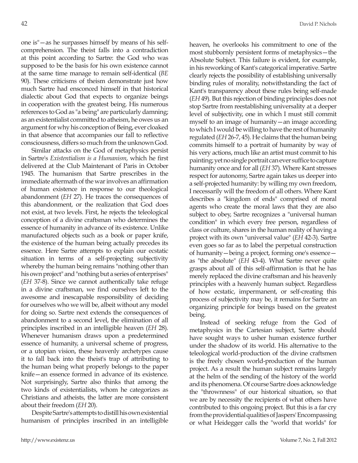one is"—as he surpasses himself by means of his selfcomprehension. The theist falls into a contradiction at this point according to Sartre: the God who was supposed to be the basis for his own existence cannot at the same time manage to remain self-identical (*BE* 90). These criticisms of theism demonstrate just how much Sartre had ensconced himself in that historical dialectic about God that expects to organize beings in cooperation with the greatest being. His numerous references to God as "a being" are particularly damning; as an existentialist committed to atheism, he owes us an argument for why his conception of Being, ever cloaked in that absence that accompanies our fall to reflective consciousness, differs so much from the unknown God.

Similar attacks on the God of metaphysics persist in Sartre's *Existentialism is a Humanism*, which he first delivered at the Club Maintenant of Paris in October 1945. The humanism that Sartre prescribes in the immediate aftermath of the war involves an affirmation of human existence in response to our theological abandonment (*EH* 27). He traces the consequences of this abandonment, or the realization that God does not exist, at two levels. First, he rejects the teleological conception of a divine craftsman who determines the essence of humanity in advance of its existence. Unlike manufactured objects such as a book or paper knife, the existence of the human being actually precedes its essence. Here Sartre attempts to explain our ecstatic situation in terms of a self-projecting subjectivity whereby the human being remains "nothing other than his own project" and "nothing but a series of enterprises" (*EH* 37-8). Since we cannot authentically take refuge in a divine craftsman, we find ourselves left to the awesome and inescapable responsibility of deciding for ourselves who we will be, albeit without any model for doing so. Sartre next extends the consequences of abandonment to a second level, the elimination of all principles inscribed in an intelligible heaven (*EH* 28). Whenever humanism draws upon a predetermined essence of humanity, a universal scheme of progress, or a utopian vision, these heavenly archetypes cause it to fall back into the theist's trap of attributing to the human being what properly belongs to the paper knife—an essence formed in advance of its existence. Not surprisingly, Sartre also thinks that among the two kinds of existentialists, whom he categorizes as Christians and atheists, the latter are more consistent about their freedom (*EH* 20).

Despite Sartre's attempts to distill his own existential humanism of principles inscribed in an intelligible heaven, he overlooks his commitment to one of the most stubbornly persistent forms of metaphysics—the Absolute Subject. This failure is evident, for example, in his reworking of Kant's categorical imperative. Sartre clearly rejects the possibility of establishing universally binding rules of morality, notwithstanding the fact of Kant's transparency about these rules being self-made (*EH* 49). But this rejection of binding principles does not stop Sartre from reestablishing universality at a deeper level of subjectivity, one in which I must still commit myself to an image of humanity—an image according to which I would be willing to have the rest of humanity regulated (*EH* 26-7, 45). He claims that the human being commits himself to a portrait of humanity by way of his very actions, much like an artist must commit to his painting; yet no single portrait can ever suffice to capture humanity once and for all (*EH* 37). Where Kant stresses respect for autonomy, Sartre again takes us deeper into a self-projected humanity: by willing my own freedom, I necessarily will the freedom of all others. Where Kant describes a "kingdom of ends" comprised of moral agents who create the moral laws that they are also subject to obey, Sartre recognizes a "universal human condition" in which every free person, regardless of class or culture, shares in the human reality of having a project with its own "universal value" (*EH* 42-3). Sartre even goes so far as to label the perpetual construction of humanity—being a project, forming one's essence as "the absolute" (*EH* 43-4). What Sartre never quite grasps about all of this self-affirmation is that he has merely replaced the divine craftsman and his heavenly principles with a heavenly human subject. Regardless of how ecstatic, impermanent, or self-creating this process of subjectivity may be, it remains for Sartre an organizing principle for beings based on the greatest being.

Instead of seeking refuge from the God of metaphysics in the Cartesian subject, Sartre should have sought ways to usher human existence further under the shadow of its world. His alternative to the teleological world-production of the divine craftsmen is the freely chosen world-production of the human project. As a result the human subject remains largely at the helm of the sending of the history of the world and its phenomena. Of course Sartre does acknowledge the "thrownness" of our historical situation, so that we are by necessity the recipients of what others have contributed to this ongoing project. But this is a far cry from the providential qualities of Jaspers' Encompassing or what Heidegger calls the "world that worlds" for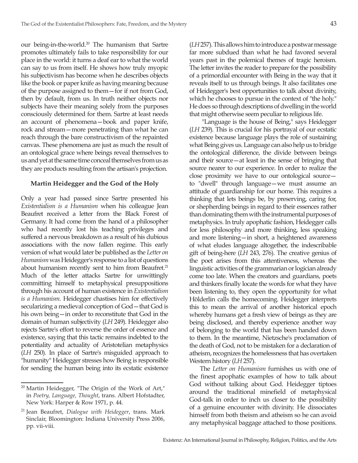our being-in-the-world.<sup>20</sup> The humanism that Sartre promotes ultimately fails to take responsibility for our place in the world: it turns a deaf ear to what the world can say to us from itself. He shows how truly myopic his subjectivism has become when he describes objects like the book or paper knife as having meaning because of the purpose assigned to them—for if not from God, then by default, from us. In truth neither objects nor subjects have their meaning solely from the purposes consciously determined for them. Sartre at least needs an account of phenomena—book and paper knife, rock and stream—more penetrating than what he can reach through the bare constructivism of the repainted canvas. These phenomena are just as much the result of an ontological grace where beings reveal themselves to us and yet at the same time conceal themselves from us as they are products resulting from the artisan's projection.

# **Martin Heidegger and the God of the Holy**

Only a year had passed since Sartre presented his *Existentialism is a Humanism* when his colleague Jean Beaufret received a letter from the Black Forest of Germany. It had come from the hand of a philosopher who had recently lost his teaching privileges and suffered a nervous breakdown as a result of his dubious associations with the now fallen regime. This early version of what would later be published as the *Letter on Humanism* was Heidegger's response to a list of questions about humanism recently sent to him from Beaufret.<sup>21</sup> Much of the letter attacks Sartre for unwittingly committing himself to metaphysical presuppositions through his account of human existence in *Existentialism is a Humanism*. Heidegger chastises him for effectively secularizing a medieval conception of God—that God is his own being—in order to reconstitute that God in the domain of human subjectivity (*LH* 249). Heidegger also rejects Sartre's effort to reverse the order of essence and existence, saying that this tactic remains indebted to the potentiality and actuality of Aristotelian metaphysics (*LH* 250). In place of Sartre's misguided approach to "humanity" Heidegger stresses how Being is responsible for sending the human being into its ecstatic existence (*LH* 257). This allows him to introduce a postwar message far more subdued than what he had favored several years past in the polemical themes of tragic heroism. The letter invites the reader to prepare for the possibility of a primordial encounter with Being in the way that it reveals itself to us through beings. It also facilitates one of Heidegger's best opportunities to talk about divinity, which he chooses to pursue in the context of "the holy." He does so through descriptions of dwelling in the world that might otherwise seem peculiar to religious life.

 "Language is the house of Being," says Heidegger (*LH* 239). This is crucial for his portrayal of our ecstatic existence because language plays the role of sustaining what Being gives us. Language can also help us to bridge the ontological difference, the divide between beings and their source—at least in the sense of bringing that source nearer to our experience. In order to realize the close proximity we have to our ontological source to "dwell" through language—we must assume an attitude of guardianship for our home. This requires a thinking that lets beings be, by preserving, caring for, or shepherding beings in regard to their essences rather than dominating them with the instrumental purposes of metaphysics. In truly apophatic fashion, Heidegger calls for less philosophy and more thinking, less speaking and more listening—in short, a heightened awareness of what eludes language altogether, the indescribable gift of being-here (*LH* 243, 276). The creative genius of the poet arises from this attentiveness, whereas the linguistic activities of the grammarian or logician already come too late. When the creators and guardians, poets and thinkers finally locate the words for what they have been listening to, they open the opportunity for what Hölderlin calls the homecoming. Heidegger interprets this to mean the arrival of another historical epoch whereby humans get a fresh view of beings as they are being disclosed, and thereby experience another way of belonging to the world that has been handed down to them. In the meantime, Nietzsche's proclamation of the death of God, not to be mistaken for a declaration of atheism, recognizes the homelessness that has overtaken Western history (*LH* 257).

The *Letter on Humanism* furnishes us with one of the finest apophatic examples of how to talk about God without talking about God. Heidegger tiptoes around the traditional minefield of metaphysical God-talk in order to inch us closer to the possibility of a genuine encounter with divinity. He dissociates himself from both theism and atheism so he can avoid any metaphysical baggage attached to those positions.

 $20$  Martin Heidegger, "The Origin of the Work of Art," in *Poetry, Language, Thought*, trans. Albert Hofstadter, New York: Harper & Row 1971, p. 44.

<sup>21</sup> Jean Beaufret, *Dialogue with Heidegger*, trans. Mark Sinclair, Bloomington: Indiana University Press 2006, pp. vii-viii.